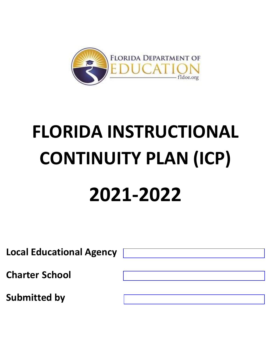

# **FLORIDA INSTRUCTIONAL CONTINUITY PLAN (ICP) 2021-2022**

**Local Educational Agency Charter School Submitted by**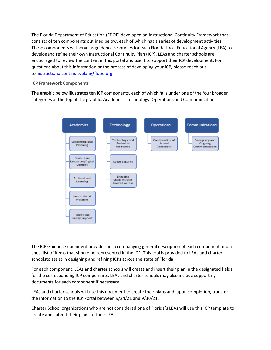The Florida Department of Education (FDOE) developed an Instructional Continuity Framework that consists of ten components outlined below, each of which has a series of development activities. These components will serve as guidance resources for each Florida Local Educational Agency (LEA) to developand refine their own Instructional Continuity Plan (ICP). LEAs and charter schools are encouraged to review the content in this portal and use it to support their ICP development. For questions about this information or the process of developing your ICP, please reach out to [instructionalcontinuityplan@fldoe.org.](mailto:instructionalcontinuityplan@fldoe.org)

#### **ICP Framework Components**

The graphic below illustrates ten ICP components, each of which falls under one of the four broader categories at the top of the graphic: Academics, Technology, Operations and Communications.



The ICP Guidance document provides an accompanying general description of each component and a checklist of items that should be represented in the ICP. This tool is provided to LEAs and charter schoolsto assist in designing and refining ICPs across the state of Florida.

For each component, LEAs and charter schools will create and insert their plan in the designated fields for the corresponding ICP components. LEAs and charter schools may also include supporting documents for each component if necessary.

LEAs and charter schools will use this document to create their plans and, upon completion, transfer the information to the ICP Portal between 9/24/21 and 9/30/21.

Charter School organizations who are not considered one of Florida's LEAs will use this ICP template to create and submit their plans to their LEA.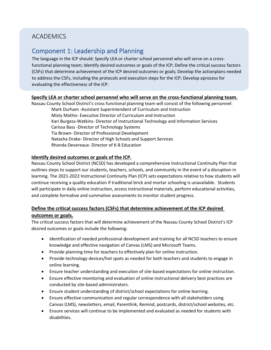# ACADEMICS

# Component 1: Leadership and Planning

The language in the ICP should: Specify LEA or charter school personnel who will serve on a crossfunctional planning team; Identify desired outcomes or goals of the ICP; Define the critical success factors (CSFs) that determine achievement of the ICP desired outcomes or goals; Develop the actionplans needed to address the CSFs, including the protocols and execution steps for the ICP; Develop aprocess for evaluating the effectiveness of the ICP.

#### **Specify LEA or charter school personnel who will serve on the cross-functional planning team.**

Nassau County School District's cross functional planning team will consist of the following personnel:

Mark Durham -Assistant Superintendent of Curriculum and Instruction Misty Mathis- Executive Director of Curriculum and Instruction Kari Burgess-Watkins- Director of Instructional Technology and Information Services Carissa Bass -Director of Technology Systems Tia Brown- Director of Professional Development Natasha Drake- Director of High Schools and Support Services Rhonda Devereaux- Director of K-8 Education

#### **Identify desired outcomes or goals of the ICP.**

Nassau County School District (NCSD) has developed a comprehensive Instructional Continuity Plan that outlines steps to support our students, teachers, schools, and community in the event of a disruption in learning. The 2021-2022 Instructional Continuity Plan (ICP) sets expectations relative to how students will continue receiving a quality education if traditional brick and mortar schooling is unavailable. Students will participate in daily online instruction, access instructional materials, perform educational activities, and complete formative and summative assessments to monitor student progress.

## **Define the critical success factors (CSFs) that determine achievement of the ICP desired outcomes or goals.**

The critical success factors that will determine achievement of the Nassau County School District's ICP desired outcomes or goals include the following:

- Identification of needed professional development and training for all NCSD teachers to ensure knowledge and effective navigation of Canvas (LMS) and Microsoft Teams.
- Provide planning time for teachers to effectively plan for online instruction.
- Provide technology devices/hot spots as needed for both teachers and students to engage in online learning.
- Ensure teacher understanding and execution of site-based expectations for online instruction.
- Ensure effective monitoring and evaluation of online instructional delivery best practices are conducted by site-based administrators.
- Ensure student understanding of district/school expectations for online learning.
- Ensure effective communication and regular correspondence with all stakeholders using Canvas (LMS), newsletters, email, Parentlink, Remind, postcards, district/school websites, etc.
- Ensure services will continue to be implemented and evaluated as needed for students with disabilities.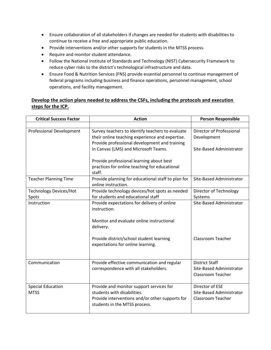- Ensure collaboration of all stakeholders if changes are needed for students with disabilities to continue to receive a free and appropriate public education.
- Provide interventions and/or other supports for students in the MTSS process.
- Require and monitor student attendance.
- Follow the National Institute of Standards and Technology (NIST) Cybersecurity Framework to reduce cyber risks to the district's technological infrastructure and data.
- Ensure Food & Nutrition Services (FNS) provide essential personnel to continue management of federal programs including business and finance operations, personnel management, school operations, and facility management.

## **Develop the action plans needed to address the CSFs, including the protocols and execution steps for the ICP.**

| <b>Critical Success Factor</b>          | <b>Action</b>                                                                                                                                               | <b>Person Responsible</b>                                                     |
|-----------------------------------------|-------------------------------------------------------------------------------------------------------------------------------------------------------------|-------------------------------------------------------------------------------|
|                                         |                                                                                                                                                             |                                                                               |
| <b>Professional Development</b>         | Survey teachers to identify teachers to evaluate<br>their online teaching experience and expertise.<br>Provide professional development and training        | Director of Professional<br>Development                                       |
|                                         | in Canvas (LMS) and Microsoft Teams.                                                                                                                        | Site-Based Administrator                                                      |
|                                         | Provide professional learning about best<br>practices for online teaching for educational<br>staff.                                                         |                                                                               |
| <b>Teacher Planning Time</b>            | Provide planning for educational staff to plan for<br>online instruction.                                                                                   | <b>Site-Based Administrator</b>                                               |
| <b>Technology Devices/Hot</b><br>Spots  | Provide technology devices/hot spots as needed<br>for students and educational staff                                                                        | Director of Technology<br>Systems                                             |
| Instruction                             | Provide expectations for delivery of online<br>instruction.<br>Monitor and evaluate online instructional<br>delivery.                                       | Site-Based Administrator                                                      |
|                                         | Provide district/school student learning<br>expectations for online learning.                                                                               | <b>Classroom Teacher</b>                                                      |
| Communication                           | Provide effective communication and regular<br>correspondence with all stakeholders.                                                                        | <b>District Staff</b><br>Site-Based Administrator<br><b>Classroom Teacher</b> |
| <b>Special Education</b><br><b>MTSS</b> | Provide and monitor support services for<br>students with disabilities.<br>Provide interventions and/or other supports for<br>students in the MTSS process. | Director of ESE<br>Site-Based Administrator<br>Classroom Teacher              |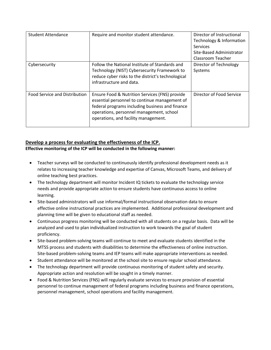| <b>Student Attendance</b>     | Require and monitor student attendance.                                                                                                                                                                                                | Director of Instructional<br>Technology & Information<br><b>Services</b><br>Site-Based Administrator<br>Classroom Teacher |
|-------------------------------|----------------------------------------------------------------------------------------------------------------------------------------------------------------------------------------------------------------------------------------|---------------------------------------------------------------------------------------------------------------------------|
| Cybersecurity                 | Follow the National Institute of Standards and<br>Technology (NIST) Cybersecurity Framework to<br>reduce cyber risks to the district's technological<br>infrastructure and data.                                                       | Director of Technology<br>Systems                                                                                         |
| Food Service and Distribution | Ensure Food & Nutrition Services (FNS) provide<br>essential personnel to continue management of<br>federal programs including business and finance<br>operations, personnel management, school<br>operations, and facility management. | Director of Food Service                                                                                                  |

#### **Develop a process for evaluating the effectiveness of the ICP.**

**Effective monitoring of the ICP will be conducted in the following manner:** 

- Teacher surveys will be conducted to continuously identify professional development needs as it relates to increasing teacher knowledge and expertise of Canvas, Microsoft Teams, and delivery of online teaching best practices.
- The technology department will monitor Incident IQ tickets to evaluate the technology service needs and provide appropriate action to ensure students have continuous access to online learning.
- Site-based administrators will use informal/formal instructional observation data to ensure effective online instructional practices are implemented. Additional professional development and planning time will be given to educational staff as needed.
- Continuous progress monitoring will be conducted with all students on a regular basis. Data will be analyzed and used to plan individualized instruction to work towards the goal of student proficiency.
- Site-based problem-solving teams will continue to meet and evaluate students identified in the MTSS process and students with disabilities to determine the effectiveness of online instruction. Site-based problem-solving teams and IEP teams will make appropriate interventions as needed.
- Student attendance will be monitored at the school site to ensure regular school attendance.
- The technology department will provide continuous monitoring of student safety and security. Appropriate action and resolution will be sought in a timely manner.
- Food & Nutrition Services (FNS) will regularly evaluate services to ensure provision of essential personnel to continue management of federal programs including business and finance operations, personnel management, school operations and facility management.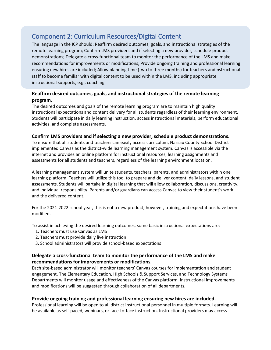# Component 2: Curriculum Resources/Digital Content

The language in the ICP should: Reaffirm desired outcomes, goals, and instructional strategies of the remote learning program; Confirm LMS providers and if selecting a new provider, schedule product demonstrations; Delegate a cross-functional team to monitor the performance of the LMS and make recommendations for improvements or modifications; Provide ongoing training and professional learning ensuring new hires are included; Allow planning time (two to three months) for teachers andinstructional staff to become familiar with digital content to be used within the LMS, including appropriate instructional supports, e.g., coaching.

#### **Reaffirm desired outcomes, goals, and instructional strategies of the remote learning program.**

The desired outcomes and goals of the remote learning program are to maintain high quality instructional expectations and content delivery for all students regardless of their learning environment. Students will participate in daily learning instruction, access instructional materials, perform educational activities, and complete assessments.

#### **Confirm LMS providers and if selecting a new provider, schedule product demonstrations.**

To ensure that all students and teachers can easily access curriculum, Nassau County School District implemented Canvas as the district-wide learning management system. Canvas is accessible via the internet and provides an online platform for instructional resources, learning assignments and assessments for all students and teachers, regardless of the learning environment location.

A learning management system will unite students, teachers, parents, and administrators within one learning platform. Teachers will utilize this tool to prepare and deliver content, daily lessons, and student assessments. Students will partake in digital learning that will allow collaboration, discussions, creativity, and individual responsibility. Parents and/or guardians can access Canvas to view their student's work and the delivered content.

For the 2021-2022 school year, this is not a new product; however, training and expectations have been modified.

To assist in achieving the desired learning outcomes, some basic instructional expectations are:

- 1. Teachers must use Canvas as LMS
- 2. Teachers must provide daily live instruction
- 3. School administrators will provide school-based expectations

#### **Delegate a cross-functional team to monitor the performance of the LMS and make recommendations for improvements or modifications.**

Each site-based administrator will monitor teachers' Canvas courses for implementation and student engagement. The Elementary Education, High Schools & Support Services, and Technology Systems Departments will monitor usage and effectiveness of the Canvas platform. Instructional improvements and modifications will be suggested through collaboration of all departments.

#### **Provide ongoing training and professional learning ensuring new hires are included.**

Professional learning will be open to all district instructional personnel in multiple formats. Learning will be available as self-paced, webinars, or face-to-face instruction. Instructional providers may access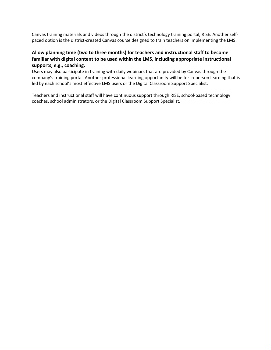Canvas training materials and videos through the district's technology training portal, RISE. Another selfpaced option is the district-created Canvas course designed to train teachers on implementing the LMS.

## **Allow planning time (two to three months) for teachers and instructional staff to become familiar with digital content to be used within the LMS, including appropriate instructional supports, e.g., coaching.**

Users may also participate in training with daily webinars that are provided by Canvas through the company's training portal. Another professional learning opportunity will be for in-person learning that is led by each school's most effective LMS users or the Digital Classroom Support Specialist.

Teachers and instructional staff will have continuous support through RISE, school-based technology coaches, school administrators, or the Digital Classroom Support Specialist.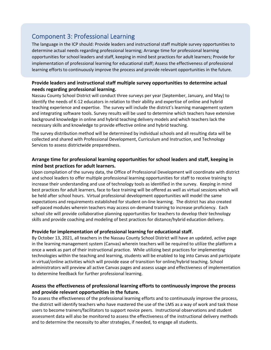# Component 3: Professional Learning

The language in the ICP should: Provide leaders and instructional staff multiple survey opportunities to determine actual needs regarding professional learning; Arrange time for professional learning opportunities for school leaders and staff, keeping in mind best practices for adult learners; Provide for implementation of professional learning for educational staff; Assess the effectiveness of professional learning efforts to continuously improve the process and provide relevant opportunities in the future.

## **Provide leaders and instructional staff multiple survey opportunities to determine actual needs regarding professional learning.**

Nassau County School District will conduct three surveys per year (September, January, and May) to identify the needs of K-12 educators in relation to their ability and expertise of online and hybrid teaching experience and expertise. The survey will include the district's learning management system and integrating software tools. Survey results will be used to determine which teachers have extensive background knowledge in online and hybrid teaching delivery models and which teachers lack the necessary skills and knowledge to provide effective online and hybrid teaching.

The survey distribution method will be determined by individual schools and all resulting data will be collected and shared with Professional Development, Curriculum and Instruction, and Technology Services to assess districtwide preparedness.

#### **Arrange time for professional learning opportunities for school leaders and staff, keeping in mind best practices for adult learners.**

Upon compilation of the survey data, the Office of Professional Development will coordinate with district and school leaders to offer multiple professional learning opportunities for staff to receive training to increase their understanding and use of technology tools as identified in the survey. Keeping in mind best practices for adult learners, face to face training will be offered as well as virtual sessions which will be held after school hours. Virtual professional development opportunities will model the same expectations and requirements established for student on-line learning. The district has also created self-paced modules wherein teachers may access on-demand training to increase proficiency. Each school site will provide collaborative planning opportunities for teachers to develop their technology skills and provide coaching and modeling of best practices for distance/hybrid education delivery.

#### **Provide for implementation of professional learning for educational staff.**

By October 13, 2021, all teachers in the Nassau County School District will have an updated, active page in the learning management system (Canvas) wherein teachers will be required to utilize the platform a once a week as part of their instructional practice. While utilizing best practices for implementing technologies within the teaching and learning, students will be enabled to log into Canvas and participate in virtual/online activities which will provide ease of transition for online/hybrid teaching. School administrators will preview all active Canvas pages and assess usage and effectiveness of implementation to determine feedback for further professional learning.

## **Assess the effectiveness of professional learning efforts to continuously improve the process and provide relevant opportunities in the future.**

To assess the effectiveness of the professional learning efforts and to continuously improve the process, the district will identify teachers who have mastered the use of the LMS as a way of work and task those users to become trainers/facilitators to support novice peers. Instructional observations and student assessment data will also be monitored to assess the effectiveness of the instructional delivery methods and to determine the necessity to alter strategies, if needed, to engage all students.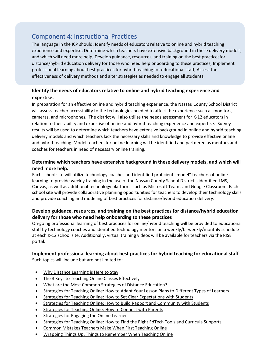# Component 4: Instructional Practices

The language in the ICP should: Identify needs of educators relative to online and hybrid teaching experience and expertise; Determine which teachers have extensive background in these delivery models, and which will need more help; Develop guidance, resources, and training on the best practicesfor distance/hybrid education delivery for those who need help onboarding to these practices; Implement professional learning about best practices for hybrid teaching for educational staff; Assess the effectiveness of delivery methods and alter strategies as needed to engage all students.

## **Identify the needs of educators relative to online and hybrid teaching experience and expertise.**

In preparation for an effective online and hybrid teaching experience, the Nassau County School District will assess teacher accessibility to the technologies needed to affect the experience such as monitors, cameras, and microphones. The district will also utilize the needs assessment for K-12 educators in relation to their ability and expertise of online and hybrid teaching experience and expertise. Survey results will be used to determine which teachers have extensive background in online and hybrid teaching delivery models and which teachers lack the necessary skills and knowledge to provide effective online and hybrid teaching. Model teachers for online learning will be identified and partnered as mentors and coaches for teachers in need of necessary online training.

## **Determine which teachers have extensive background in these delivery models, and which will need more help.**

Each school site will utilize technology coaches and identified proficient "model" teachers of online learning to provide weekly training in the use of the Nassau County School District's identified LMS, Canvas, as well as additional technology platforms such as Microsoft Teams and Google Classroom. Each school site will provide collaborative planning opportunities for teachers to develop their technology skills and provide coaching and modeling of best practices for distance/hybrid education delivery.

## **Develop guidance, resources, and training on the best practices for distance/hybrid education delivery for those who need help onboarding to these practices**

On-going professional learning of best practices for online/hybrid teaching will be provided to educational staff by technology coaches and identified technology mentors on a weekly/bi-weekly/monthly schedule at each K-12 school site. Additionally, virtual training videos will be available for teachers via the RISE portal.

# **Implement professional learning about best practices for hybrid teaching for educational staff**

Such topics will include but are not limited to:

- [Why Distance Learning is Here to Stay](https://www.albert.io/blog/strategies-for-teaching-online/#Why_Distance_Learning_is_Here_to_Stay)
- [The 3 Keys to Teaching Online Classes Effectively](https://www.albert.io/blog/strategies-for-teaching-online/#The_3_Keys_to_Teaching_Online_Classes_Effectively)
- [What are the Most Common Strategies of Distance Education?](https://www.albert.io/blog/strategies-for-teaching-online/#What_are_the_Most_Common_Strategies_of_Distance_Education)
- [Strategies for Teaching Online: How to Adapt Your Lesson Plans to Different Types of Learners](https://www.albert.io/blog/strategies-for-teaching-online/#Strategies_for_Teaching_Online_How_to_Adapt_Your_Lesson_Plans_to_Different_Types_of_Learners)
- [Strategies for Teaching Online: How to Set Clear Expectations with Students](https://www.albert.io/blog/strategies-for-teaching-online/#Strategies_for_Teaching_Online_How_to_Set_Clear_Expectations_with_Students)
- [Strategies for Teaching Online: How to Build Rapport and Community with Students](https://www.albert.io/blog/strategies-for-teaching-online/#Strategies_for_Teaching_Online_How_to_Build_Rapport_and_Community_with_Students)
- [Strategies for Teaching Online: How to Connect with Parents](https://www.albert.io/blog/strategies-for-teaching-online/#Strategies_for_Teaching_Online_How_to_Connect_with_Parents)
- Strategies for Engaging the Online Learner
- [Strategies for Teaching Online: How to Find the Right EdTech Tools and Curricula Supports](https://www.albert.io/blog/strategies-for-teaching-online/#Strategies_for_Teaching_Online_How_to_Find_the_Right_EdTech_Tools_and_Curricula_Supports)
- [Common Mistakes Teachers Make When First Teaching Online](https://www.albert.io/blog/strategies-for-teaching-online/#Common_Mistakes_Teachers_Make_When_First_Teaching_Online)
- [Wrapping Things Up: Things to Remember When Teaching Online](https://www.albert.io/blog/strategies-for-teaching-online/#Wrapping_Things_Up_Things_to_Remember_When_Teaching_Online)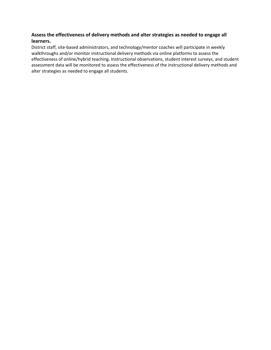## **Assess the effectiveness of delivery methods and alter strategies as needed to engage all learners.**

District staff, site-based administrators, and technology/mentor coaches will participate in weekly walkthroughs and/or monitor instructional delivery methods via online platforms to assess the effectiveness of online/hybrid teaching. Instructional observations, student interest surveys, and student assessment data will be monitored to assess the effectiveness of the instructional delivery methods and alter strategies as needed to engage all students.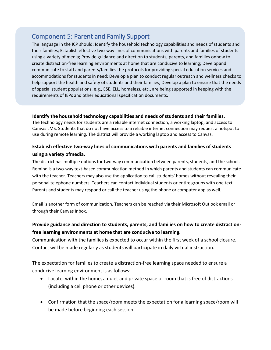# Component 5: Parent and Family Support

The language in the ICP should: Identify the household technology capabilities and needs of students and their families; Establish effective two-way lines of communications with parents and families of students using a variety of media; Provide guidance and direction to students, parents, and families onhow to create distraction-free learning environments at home that are conducive to learning; Developand communicate to staff and parents/families the protocols for providing special education services and accommodations for students in need; Develop a plan to conduct regular outreach and wellness checks to help support the health and safety of students and their families; Develop a plan to ensure that the needs of special student populations, e.g., ESE, ELL, homeless, etc., are being supported in keeping with the requirements of IEPs and other educational specification documents.

#### **Identify the household technology capabilities and needs of students and their families.**

The technology needs for students are a reliable internet connection, a working laptop, and access to Canvas LMS. Students that do not have access to a reliable internet connection may request a hotspot to use during remote learning. The district will provide a working laptop and access to Canvas.

## **Establish effective two-way lines of communications with parents and families of students using a variety ofmedia.**

The district has multiple options for two-way communication between parents, students, and the school. Remind is a two-way text-based communication method in which parents and students can communicate with the teacher. Teachers may also use the application to call students' homes without revealing their personal telephone numbers. Teachers can contact individual students or entire groups with one text. Parents and students may respond or call the teacher using the phone or computer app as well.

Email is another form of communication. Teachers can be reached via their Microsoft Outlook email or through their Canvas Inbox.

# **Provide guidance and direction to students, parents, and families on how to create distractionfree learning environments at home that are conducive to learning.**

Communication with the families is expected to occur within the first week of a school closure. Contact will be made regularly as students will participate in daily virtual instruction.

The expectation for families to create a distraction-free learning space needed to ensure a conducive learning environment is as follows:

- Locate, within the home, a quiet and private space or room that is free of distractions (including a cell phone or other devices).
- Confirmation that the space/room meets the expectation for a learning space/room will be made before beginning each session.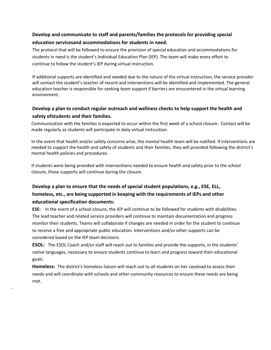## **Develop and communicate to staff and parents/families the protocols for providing special education servicesand accommodations for students in need.**

The protocol that will be followed to ensure the provision of special education and accommodations for students in need is the student's Individual Education Plan (IEP). The team will make every effort to continue to follow the student's IEP during virtual instruction.

If additional supports are identified and needed due to the nature of the virtual instruction, the service provider will contact the student's teacher of record and interventions will be identified and implemented. The general education teacher is responsible for seeking team support if barriers are encountered in the virtual learning environment.

# **Develop a plan to conduct regular outreach and wellness checks to help support the health and safety ofstudents and their families.**

Communication with the families is expected to occur within the first week of a school closure. Contact will be made regularly as students will participate in daily virtual instruction.

In the event that health and/or safety concerns arise, the mental health team will be notified. If interventions are needed to support the health and safety of students and their families, they will provided following the district's mental health policies and procedures.

If students were being provided with interventions needed to ensure health and safety prior to the school closure, those supports will continue during the closure.

# **Develop a plan to ensure that the needs of special student populations, e.g., ESE, ELL, homeless, etc., are being supported in keeping with the requirements of IEPs and other educational specification documents:**

**ESE:** In the event of a school closure, the IEP will continue to be followed for students with disabilities. The lead teacher and related service providers will continue to maintain documentation and progress monitor their students. Teams will collaborate if changes are needed in order for the student to continue to receive a free and appropriate public education. Interventions and/or other supports can be considered based on the IEP team decisions.

**ESOL:** The ESOL Coach and/or staff will reach out to families and provide the supports, in the students' native languages, necessary to ensure students continue to learn and progress toward their educational goals.

**Homeless:** The district's homeless liaison will reach out to all students on her caseload to assess their needs and will coordinate with schools and other community resources to ensure these needs are being met.

-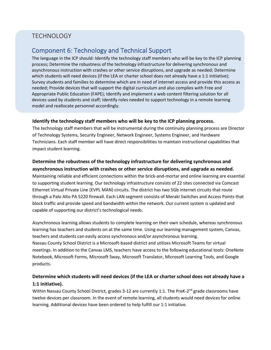# TECHNOLOGY

# Component 6: Technology and Technical Support

The language in the ICP should: Identify the technology staff members who will be key to the ICP planning process; Determine the robustness of the technology infrastructure for delivering synchronous and asynchronous instruction with crashes or other service disruptions, and upgrade as needed; Determine which students will need devices (if the LEA or charter school does not already have a 1:1 initiative); Survey students and families to determine which are in need of internet access and provide this access as needed; Provide devices that will support the digital curriculum and also complies with Free and Appropriate Public Education (FAPE); Identify and implement a web content filtering solution for all devices used by students and staff; Identify roles needed to support technology in a remote learning model and reallocate personnel accordingly.

#### **Identify the technology staff members who will be key to the ICP planning process.**

The technology staff members that will be instrumental during the continuity planning process are Director of Technology Systems, Security Engineer, Network Engineer, Systems Engineer, and Hardware Technicians. Each staff member will have direct responsibilities to maintain instructional capabilities that impact student learning.

# **Determine the robustness of the technology infrastructure for delivering synchronous and**

**asynchronous instruction with crashes or other service disruptions, and upgrade as needed.** Maintaining reliable and efficient connections within the brick-and-mortar and online learning are essential to supporting student learning. Our technology infrastructure consists of 22 sites connected via Comcast Ethernet Virtual Private Line (EVPL MAN) circuits. The district has two 5Gb internet circuits that route through a Palo Alto PA 5220 firewall. Each LAN segment consists of Meraki Switches and Access Points that block traffic and provide speed and bandwidth within the network. Our current system is updated and capable of supporting our district's technological needs.

Asynchronous learning allows students to complete learning on their own schedule, whereas synchronous learning has teachers and students on at the same time. Using our learning management system, Canvas, teachers and students can easily access synchronous and/or asynchronous learning. Nassau County School District is a Microsoft-based district and utilizes Microsoft Teams for virtual meetings. In addition to the Canvas LMS, teachers have access to the following educational tools: OneNote Notebook, Microsoft Forms, Microsoft Sway, Microsoft Translator, Microsoft Learning Tools, and Google products.

## **Determine which students will need devices (if the LEA or charter school does not already have a 1:1 initiative).**

Within Nassau County School District, grades 3-12 are currently 1:1. The PreK-2<sup>nd</sup> grade classrooms have twelve devices per classroom. In the event of remote learning, all students would need devices for online learning. Additional devices have been ordered to help fulfill our 1:1 initiative.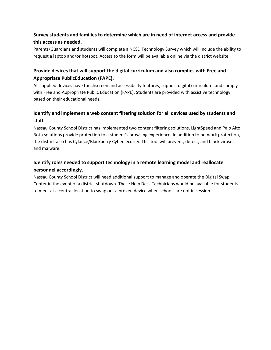## **Survey students and families to determine which are in need of internet access and provide this access as needed.**

Parents/Guardians and students will complete a NCSD Technology Survey which will include the ability to request a laptop and/or hotspot. Access to the form will be available online via the district website.

## **Provide devices that will support the digital curriculum and also complies with Free and Appropriate PublicEducation (FAPE).**

All supplied devices have touchscreen and accessibility features, support digital curriculum, and comply with Free and Appropriate Public Education (FAPE). Students are provided with assistive technology based on their educational needs.

# **Identify and implement a web content filtering solution for all devices used by students and staff.**

Nassau County School District has implemented two content filtering solutions, LightSpeed and Palo Alto. Both solutions provide protection to a student's browsing experience. In addition to network protection, the district also has Cylance/Blackberry Cybersecurity. This tool will prevent, detect, and block viruses and malware.

# **Identify roles needed to support technology in a remote learning model and reallocate personnel accordingly.**

Nassau County School District will need additional support to manage and operate the Digital Swap Center in the event of a district shutdown. These Help Desk Technicians would be available for students to meet at a central location to swap out a broken device when schools are not in session.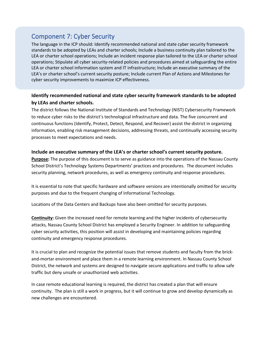# Component 7: Cyber Security

The language in the ICP should: Identify recommended national and state cyber security framework standards to be adopted by LEAs and charter schools; Include a business continuity plan tailored to the LEA or charter school operations; Include an incident response plan tailored to the LEA or charter school operations; Stipulate all cyber security-related policies and procedures aimed at safeguarding the entire LEA or charter school information system and IT infrastructure; Include an executive summary of the LEA's or charter school's current security posture; Include current Plan of Actions and Milestones for cyber security improvements to maximize ICP effectiveness.

## **Identify recommended national and state cyber security framework standards to be adopted by LEAs and charter schools.**

The district follows the National Institute of Standards and Technology (NIST) Cybersecurity Framework to reduce cyber risks to the district's technological infrastructure and data. The five concurrent and continuous functions (Identify, Protect, Detect, Respond, and Recover) assist the district in organizing information, enabling risk management decisions, addressing threats, and continually accessing security processes to meet expectations and needs.

#### **Include an executive summary of the LEA's or charter school's current security posture.**

**Purpose:** The purpose of this document is to serve as guidance into the operations of the Nassau County School District's Technology Systems Departments' practices and procedures. The document includes security planning, network procedures, as well as emergency continuity and response procedures.

It is essential to note that specific hardware and software versions are intentionally omitted for security purposes and due to the frequent changing of Informational Technology.

Locations of the Data Centers and Backups have also been omitted for security purposes.

**Continuity:** Given the increased need for remote learning and the higher incidents of cybersecurity attacks, Nassau County School District has employed a Security Engineer. In addition to safeguarding cyber security activities, this position will assist in developing and maintaining policies regarding continuity and emergency response procedures.

It is crucial to plan and recognize the potential issues that remove students and faculty from the brickand-mortar environment and place them in a remote learning environment. In Nassau County School District, the network and systems are designed to navigate secure applications and traffic to allow safe traffic but deny unsafe or unauthorized web activities.

In case remote educational learning is required, the district has created a plan that will ensure continuity. The plan is still a work in progress, but it will continue to grow and develop dynamically as new challenges are encountered.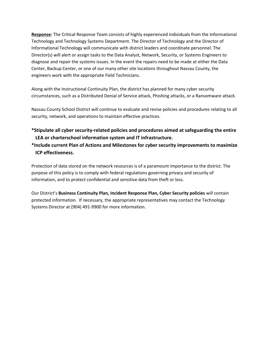**Response:** The Critical Response Team consists of highly experienced individuals from the Informational Technology and Technology Systems Department. The Director of Technology and the Director of Informational Technology will communicate with district leaders and coordinate personnel. The Director(s) will alert or assign tasks to the Data Analyst, Network, Security, or Systems Engineers to diagnose and repair the systems issues. In the event the repairs need to be made at either the Data Center, Backup Center, or one of our many other site locations throughout Nassau County, the engineers work with the appropriate Field Technicians.

Along with the Instructional Continuity Plan, the district has planned for many cyber security circumstances, such as a Distributed Denial of Service attack, Phishing attacks, or a Ransomware attack.

Nassau County School District will continue to evaluate and revise policies and procedures relating to all security, network, and operations to maintain effective practices.

- **\*Stipulate all cyber security-related policies and procedures aimed at safeguarding the entire LEA or charterschool information system and IT infrastructure.**
- **\*Include current Plan of Actions and Milestones for cyber security improvements to maximize ICP effectiveness.**

Protection of data stored on the network resources is of a paramount importance to the district. The purpose of this policy is to comply with federal regulations governing privacy and security of information, and to protect confidential and sensitive data from theft or loss.

Our District's **Business Continuity Plan, Incident Response Plan, Cyber Security policies** will contain protected information. If necessary, the appropriate representatives may contact the Technology Systems Director at (904) 491-9900 for more information.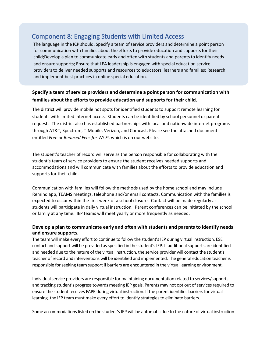# Component 8: Engaging Students with Limited Access

The language in the ICP should: Specify a team of service providers and determine a point person for communication with families about the efforts to provide education and supports for their child;Develop a plan to communicate early and often with students and parents to identify needs and ensure supports; Ensure that LEA leadership is engaged with special education service providers to deliver needed supports and resources to educators, learners and families; Research and implement best practices in online special education.

## **Specify a team of service providers and determine a point person for communication with families about the efforts to provide education and supports for their child**.

The district will provide mobile hot spots for identified students to support remote learning for students with limited internet access. Students can be identified by school personnel or parent requests. The district also has established partnerships with local and nationwide internet programs through AT&T, Spectrum, T-Mobile, Verizon, and Comcast. Please see the attached document entitled *Free or Reduced Fees for Wi-Fi*, which is on our website.

The student's teacher of record will serve as the person responsible for collaborating with the student's team of service providers to ensure the student receives needed supports and accommodations and will communicate with families about the efforts to provide education and supports for their child.

Communication with families will follow the methods used by the home school and may include Remind app, TEAMS meetings, telephone and/or email contacts. Communication with the families is expected to occur within the first week of a school closure. Contact will be made regularly as students will participate in daily virtual instruction. Parent conferences can be initiated by the school or family at any time. IEP teams will meet yearly or more frequently as needed.

#### **Develop a plan to communicate early and often with students and parents to identify needs and ensure supports.**

The team will make every effort to continue to follow the student's IEP during virtual instruction. ESE contact and support will be provided as specified in the student's IEP. If additional supports are identified and needed due to the nature of the virtual instruction, the service provider will contact the student's teacher of record and interventions will be identified and implemented. The general education teacher is responsible for seeking team support if barriers are encountered in the virtual learning environment.

Individual service providers are responsible for maintaining documentation related to services/supports and tracking student's progress towards meeting IEP goals. Parents may not opt out of services required to ensure the student receives FAPE during virtual instruction. If the parent identifies barriers for virtual learning, the IEP team must make every effort to identify strategies to eliminate barriers.

Some accommodations listed on the student's IEP will be automatic due to the nature of virtual instruction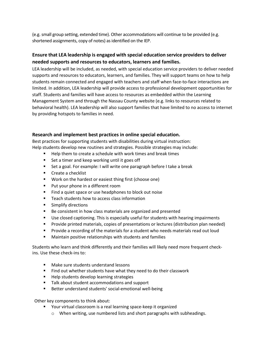(e.g. small group setting, extended time). Other accommodations will continue to be provided (e.g. shortened assignments, copy of notes) as identified on the IEP.

## **Ensure that LEA leadership is engaged with special education service providers to deliver needed supports and resources to educators, learners and families.**

LEA leadership will be included, as needed, with special education service providers to deliver needed supports and resources to educators, learners, and families. They will support teams on how to help students remain connected and engaged with teachers and staff when face-to-face interactions are limited. In addition, LEA leadership will provide access to professional development opportunities for staff. Students and families will have access to resources as embedded within the Learning Management System and through the Nassau County website (e.g. links to resources related to behavioral health). LEA leadership will also support families that have limited to no access to internet by providing hotspots to families in need.

#### **Research and implement best practices in online special education.**

Best practices for supporting students with disabilities during virtual instruction: Help students develop new routines and strategies. Possible strategies may include:

- Help them to create a schedule with work times and break times
- Set a timer and keep working until it goes off
- Set a goal. For example: I will write one paragraph before I take a break
- Create a checklist
- Work on the hardest or easiest thing first (choose one)
- Put your phone in a different room
- Find a quiet space or use headphones to block out noise
- Teach students how to access class information
- Simplify directions
- Be consistent in how class materials are organized and presented
- Use closed captioning. This is especially useful for students with hearing impairments
- Provide printed materials, copies of presentations or lectures (distribution plan needed)
- Provide a recording of the materials for a student who needs materials read out loud
- Maintain positive relationships with students and families

Students who learn and think differently and their families will likely need more frequent checkins. Use these check-ins to:

- Make sure students understand lessons
- Find out whether students have what they need to do their classwork
- Help students develop learning strategies
- Talk about student accommodations and support
- Better understand students' social-emotional well-being

Other key components to think about:

- Your virtual classroom is a real learning space-keep it organized
	- o When writing, use numbered lists and short paragraphs with subheadings.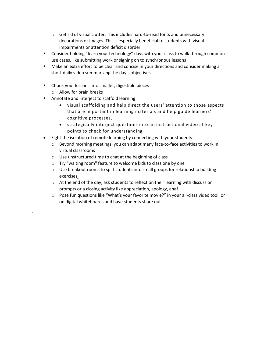- o Get rid of visual clutter. This includes hard-to-read fonts and unnecessary decorations or images. This is especially beneficial to students with visual impairments or attention deficit disorder
- Consider holding "learn your technology" days with your class to walk through commonuse cases, like submitting work or signing on to synchronous lessons
- Make an extra effort to be clear and concise in your directions and consider making a short daily video summarizing the day's objectives
- Chunk your lessons into smaller, digestible pieces
	- o Allow for brain breaks

.

- Annotate and interject to scaffold learning
	- visual scaffolding and help direct the users' attention to those aspects that are important in learning materials and help guide learners' cognitive processes,
	- strategically interject questions into an instructional video at key points to check for understanding
- Fight the isolation of remote learning by connecting with your students
	- $\circ$  Beyond morning meetings, you can adapt many face-to-face activities to work in virtual classrooms
	- o Use unstructured time to chat at the beginning of class
	- o Try "waiting room" feature to welcome kids to class one by one
	- $\circ$  Use breakout rooms to split students into small groups for relationship building exercises
	- o At the end of the day, ask students to reflect on their learning with discussion prompts or a closing activity like appreciation, apology, aha!
	- o Pose fun questions like "What's your favorite movie?" in your all-class video tool, or on digital whiteboards and have students share out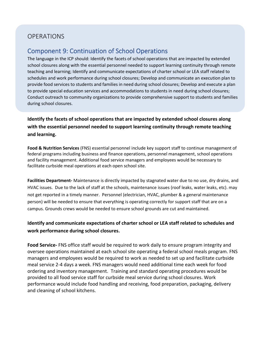# **OPERATIONS**

# Component 9: Continuation of School Operations

The language in the ICP should: Identify the facets of school operations that are impacted by extended school closures along with the essential personnel needed to support learning continuity through remote teaching and learning; Identify and communicate expectations of charter school or LEA staff related to schedules and work performance during school closures; Develop and communicate an execution plan to provide food services to students and families in need during school closures; Develop and execute a plan to provide special education services and accommodations to students in need during school closures; Conduct outreach to community organizations to provide comprehensive support to students and families during school closures.

**Identify the facets of school operations that are impacted by extended school closures along with the essential personnel needed to support learning continuity through remote teaching and learning.**

**Food & Nutrition Services** (FNS) essential personnel include key support staff to continue management of federal programs including business and finance operations, personnel management, school operations and facility management. Additional food service managers and employees would be necessary to facilitate curbside meal operations at each open school site.

**Facilities Department-** Maintenance is directly impacted by stagnated water due to no use, dry drains, and HVAC issues. Due to the lack of staff at the schools, maintenance issues (roof leaks, water leaks, etc). may not get reported in a timely manner. Personnel (electrician, HVAC, plumber & a general maintenance person) will be needed to ensure that everything is operating correctly for support staff that are on a campus. Grounds crews would be needed to ensure school grounds are cut and maintained.

## **Identify and communicate expectations of charter school or LEA staff related to schedules and work performance during school closures.**

**Food Service-** FNS office staff would be required to work daily to ensure program integrity and oversee operations maintained at each school site operating a federal school meals program. FNS managers and employees would be required to work as needed to set up and facilitate curbside meal service 2-4 days a week. FNS managers would need additional time each week for food ordering and inventory management. Training and standard operating procedures would be provided to all food service staff for curbside meal service during school closures. Work performance would include food handling and receiving, food preparation, packaging, delivery and cleaning of school kitchens.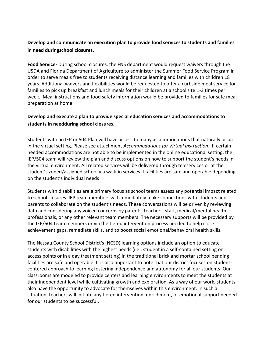## **Develop and communicate an execution plan to provide food services to students and families in need duringschool closures.**

**Food Service-** During school closures, the FNS department would request waivers through the USDA and Florida Department of Agriculture to administer the Summer Food Service Program in order to serve meals free to students receiving distance learning and families with children 18 years. Additional waivers and flexibilities would be requested to offer a curbside meal service for families to pick up breakfast and lunch meals for their children at a school site 1-3 times per week. Meal instructions and food safety information would be provided to families for safe meal preparation at home.

## **Develop and execute a plan to provide special education services and accommodations to students in needduring school closures.**

Students with an IEP or 504 Plan will have access to many accommodations that naturally occur in the virtual setting. Please see attachment *Accommodations for Virtual Instruction*. If certain needed accommodations are not able to be implemented in the online educational setting, the IEP/504 team will review the plan and discuss options on how to support the student's needs in the virtual environment. All related services will be delivered through teleservices or at the student's zoned/assigned school via walk-in services if facilities are safe and operable depending on the student's individual needs

Students with disabilities are a primary focus as school teams assess any potential impact related to school closures. IEP team members will immediately make connections with students and parents to collaborate on the student's needs. These conversations will be driven by reviewing data and considering any voiced concerns by parents, teachers, staff, medical/mental health professionals, or any other relevant team members. The necessary supports will be provided by the IEP/504 team members or via the tiered intervention process needed to help close achievement gaps, remediate skills, and to boost social emotional/behavioral health skills.

The Nassau County School District's (NCSD) learning options include an option to educate students with disabilities with the highest needs (i.e., student in a self-contained setting on access points or in a day treatment setting) in the traditional brick and mortar school pending facilities are safe and operable. It is also important to note that our district focuses on studentcentered approach to learning fostering independence and autonomy for all our students. Our classrooms are modeled to provide centers and learning environments to meet the students at their independent level while cultivating growth and exploration. As a way of our work, students also have the opportunity to advocate for themselves within this environment. In such a situation, teachers will initiate any tiered intervention, enrichment, or emotional support needed for our students to be successful.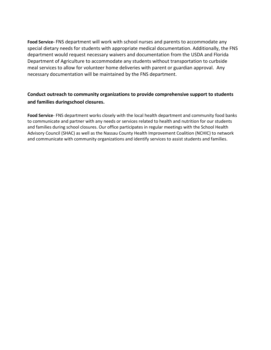**Food Service-** FNS department will work with school nurses and parents to accommodate any special dietary needs for students with appropriate medical documentation. Additionally, the FNS department would request necessary waivers and documentation from the USDA and Florida Department of Agriculture to accommodate any students without transportation to curbside meal services to allow for volunteer home deliveries with parent or guardian approval. Any necessary documentation will be maintained by the FNS department.

## **Conduct outreach to community organizations to provide comprehensive support to students and families duringschool closures.**

**Food Service**- FNS department works closely with the local health department and community food banks to communicate and partner with any needs or services related to health and nutrition for our students and families during school closures. Our office participates in regular meetings with the School Health Advisory Council (SHAC) as well as the Nassau County Health Improvement Coalition (NCHIC) to network and communicate with community organizations and identify services to assist students and families.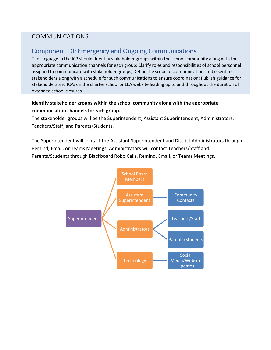# COMMUNICATIONS

# Component 10: Emergency and Ongoing Communications

The language in the ICP should: Identify stakeholder groups within the school community along with the appropriate communication channels for each group; Clarify roles and responsibilities of school personnel assigned to communicate with stakeholder groups; Define the scope of communications to be sent to stakeholders along with a schedule for such communications to ensure coordination; Publish guidance for stakeholders and ICPs on the charter school or LEA website leading up to and throughout the duration of extended school closures.

## **Identify stakeholder groups within the school community along with the appropriate communication channels foreach group.**

The stakeholder groups will be the Superintendent, Assistant Superintendent, Administrators, Teachers/Staff, and Parents/Students.

The Superintendent will contact the Assistant Superintendent and District Administrators through Remind, Email, or Teams Meetings. Administrators will contact Teachers/Staff and Parents/Students through Blackboard Robo Calls, Remind, Email, or Teams Meetings.